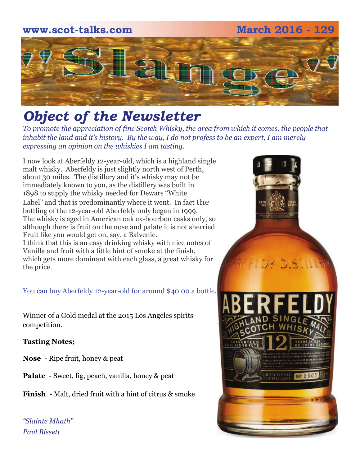# **www.scot-talks.com March 2016 - 129** [2] 1

## *Object of the Newsletter*

*To promote the appreciation of fine Scotch Whisky, the area from which it comes, the people that inhabit the land and it's history. By the way, I do not profess to be an expert, I am merely expressing an opinion on the whiskies I am tasting.* 

I now look at Aberfeldy 12-year-old, which is a highland single malt whisky. Aberfeldy is just slightly north west of Perth, about 30 miles. The distillery and it's whisky may not be immediately known to you, as the distillery was built in 1898 to supply the whisky needed for Dewars "White Label" and that is predominantly where it went. In fact the bottling of the 12-year-old Aberfeldy only began in 1999. The whisky is aged in American oak ex-bourbon casks only, so although there is fruit on the nose and palate it is not sherried Fruit like you would get on, say, a Balvenie. I think that this is an easy drinking whisky with nice notes of Vanilla and fruit with a little hint of smoke at the finish, which gets more dominant with each glass, a great whisky for the price.

You can buy Aberfeldy 12-year-old for around \$40.00 a bottle.

Winner of a Gold medal at the 2015 Los Angeles spirits competition.

#### **Tasting Notes;**

- **Nose**  Ripe fruit, honey & peat
- **Palate**  Sweet, fig, peach, vanilla, honey & peat
- **Finish**  Malt, dried fruit with a hint of citrus & smoke

*"Slainte Mhath" Paul Bissett*

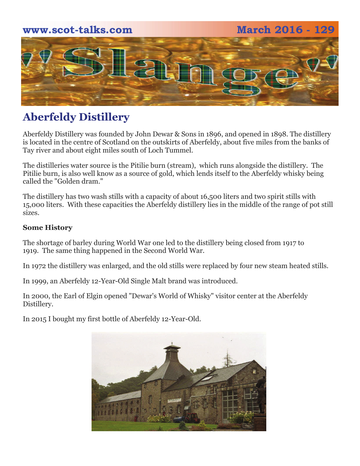# **www.scot-talks.com March 2016 - 129** 4 L

## **Aberfeldy Distillery**

Aberfeldy Distillery was founded by John Dewar & Sons in 1896, and opened in 1898. The distillery is located in the centre of Scotland on the outskirts of Aberfeldy, about five miles from the banks of Tay river and about eight miles south of Loch Tummel.

The distilleries water source is the Pitilie burn (stream), which runs alongside the distillery. The Pitilie burn, is also well know as a source of gold, which lends itself to the Aberfeldy whisky being called the "Golden dram."

The distillery has two wash stills with a capacity of about 16,500 liters and two spirit stills with 15,000 liters. With these capacities the Aberfeldy distillery lies in the middle of the range of pot still sizes.

#### **Some History**

The shortage of barley during World War one led to the distillery being closed from 1917 to 1919. The same thing happened in the Second World War.

In 1972 the distillery was enlarged, and the old stills were replaced by four new steam heated stills.

In 1999, an Aberfeldy 12-Year-Old Single Malt brand was introduced.

In 2000, the Earl of Elgin opened "Dewar's World of Whisky" visitor center at the Aberfeldy Distillery.

In 2015 I bought my first bottle of Aberfeldy 12-Year-Old.

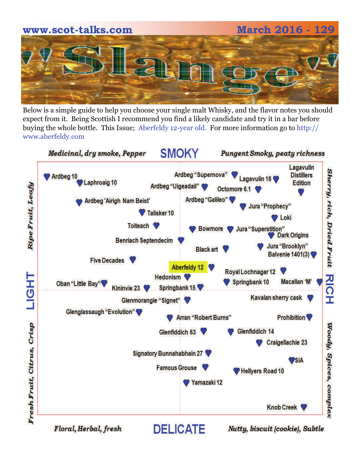

Below is a simple guide to help you choose your single malt Whisky, and the flavor notes you should expect from it. Being Scottish I recommend you find a likely candidate and try it in a bar before buying the whole bottle. This Issue; Aberfeldy 12-year old. For more information go to http:// www.aberfeldy.com

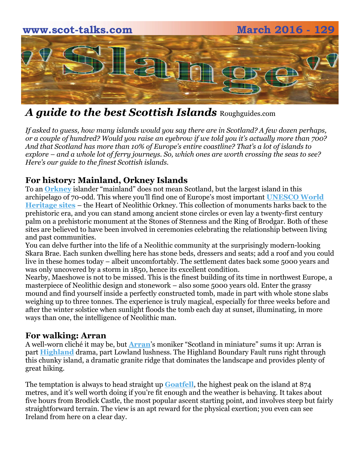

## *A guide to the best Scottish Islands* Roughguides.com

*If asked to guess, how many islands would you say there are in Scotland? A few dozen perhaps, or a couple of hundred? Would you raise an eyebrow if we told you it's actually more than 700? And that Scotland has more than 10% of Europe's entire coastline? That's a lot of islands to explore – and a whole lot of ferry journeys. So, which ones are worth crossing the seas to see? Here's our guide to the finest Scottish islands.*

## **For history: Mainland, Orkney Islands**

To an **[Orkney](http://www.roughguides.com/destinations/europe/scotland/orkney-shetland/orkney/)** islander "mainland" does not mean Scotland, but the largest island in this archipelago of 70-odd. This where you'll find one of Europe's most important **[UNESCO World](http://whc.unesco.org/en/list/)  [Heritage sites](http://whc.unesco.org/en/list/)** – the Heart of Neolithic Orkney. This collection of monuments harks back to the prehistoric era, and you can stand among ancient stone circles or even lay a twenty-first century palm on a prehistoric monument at the Stones of Stenness and the Ring of Brodgar. Both of these sites are believed to have been involved in ceremonies celebrating the relationship between living and past communities.

You can delve further into the life of a Neolithic community at the surprisingly modern-looking Skara Brae. Each sunken dwelling here has stone beds, dressers and seats; add a roof and you could live in these homes today – albeit uncomfortably. The settlement dates back some 5000 years and was only uncovered by a storm in 1850, hence its excellent condition.

Nearby, Maeshowe is not to be missed. This is the finest building of its time in northwest Europe, a masterpiece of Neolithic design and stonework – also some 5000 years old. Enter the grassy mound and find yourself inside a perfectly constructed tomb, made in part with whole stone slabs weighing up to three tonnes. The experience is truly magical, especially for three weeks before and after the winter solstice when sunlight floods the tomb each day at sunset, illuminating, in more ways than one, the intelligence of Neolithic man.

#### **For walking: Arran**

A well-worn cliché it may be, but **[Arran](http://www.roughguides.com/destinations/europe/scotland/argyll/isle-arran/)**'s moniker "Scotland in miniature" sums it up: Arran is part **[Highland](http://www.roughguides.com/destinations/europe/scotland/highland-region/)** drama, part Lowland lushness. The Highland Boundary Fault runs right through this chunky island, a dramatic granite ridge that dominates the landscape and provides plenty of great hiking.

The temptation is always to head straight up **[Goatfell](http://www.roughguides.com/destinations/europe/scotland/argyll/isle-arran/hiking-goat-fell/)**, the highest peak on the island at 874 metres, and it's well worth doing if you're fit enough and the weather is behaving. It takes about five hours from Brodick Castle, the most popular ascent starting point, and involves steep but fairly straightforward terrain. The view is an apt reward for the physical exertion; you even can see Ireland from here on a clear day.